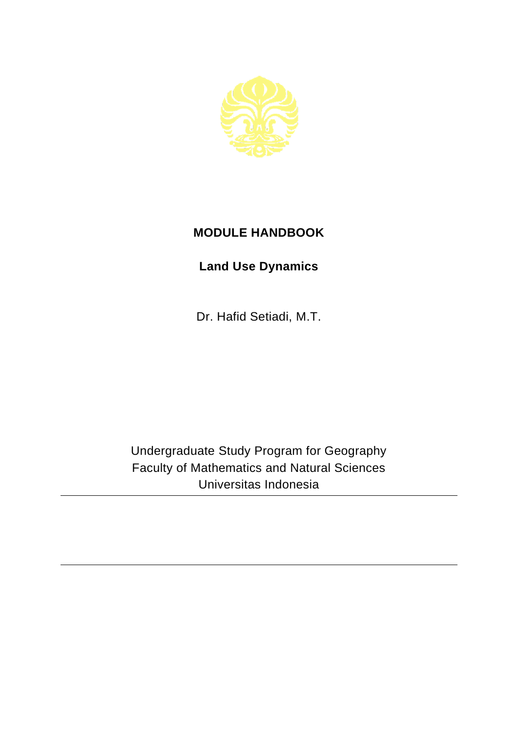

## **MODULE HANDBOOK**

## **Land Use Dynamics**

Dr. Hafid Setiadi, M.T.

Undergraduate Study Program for Geography Faculty of Mathematics and Natural Sciences Universitas Indonesia